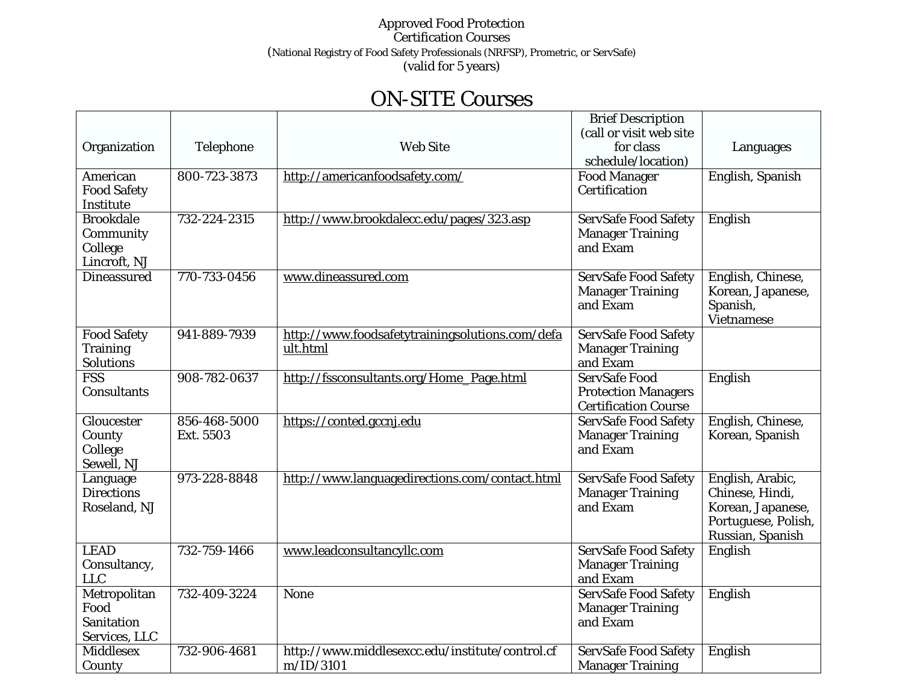## Approved Food Protection Certification Courses (National Registry of Food Safety Professionals (NRFSP), Prometric, or ServSafe) (valid for 5 years)

## ON-SITE Courses

| <b>Brief Description</b>                                                                                                      |                     |
|-------------------------------------------------------------------------------------------------------------------------------|---------------------|
| (call or visit web site                                                                                                       |                     |
| Telephone<br><b>Web Site</b><br>for class<br>Organization                                                                     | Languages           |
| schedule/location)                                                                                                            |                     |
| 800-723-3873<br><b>Food Manager</b><br>American<br>http://americanfoodsafety.com/                                             | English, Spanish    |
| <b>Food Safety</b><br>Certification                                                                                           |                     |
| Institute                                                                                                                     |                     |
| <b>Brookdale</b><br>732-224-2315<br>http://www.brookdalecc.edu/pages/323.asp<br><b>ServSafe Food Safety</b><br>English        |                     |
| <b>Manager Training</b><br>Community                                                                                          |                     |
| and Exam<br>College                                                                                                           |                     |
| Lincroft, NJ                                                                                                                  |                     |
| <b>Dineassured</b><br>770-733-0456<br><b>ServSafe Food Safety</b><br>www.dineassured.com                                      | English, Chinese,   |
| <b>Manager Training</b>                                                                                                       | Korean, Japanese,   |
| and Exam<br>Spanish,                                                                                                          |                     |
| <b>Vietnamese</b>                                                                                                             |                     |
| 941-889-7939<br>http://www.foodsafetytrainingsolutions.com/defa<br><b>Food Safety</b><br><b>ServSafe Food Safety</b>          |                     |
| <b>Manager Training</b><br>ult.html<br><b>Training</b>                                                                        |                     |
| and Exam<br>Solutions                                                                                                         |                     |
| <b>FSS</b><br>908-782-0637<br><b>ServSafe Food</b><br>English<br>http://fssconsultants.org/Home_Page.html                     |                     |
| <b>Consultants</b><br><b>Protection Managers</b>                                                                              |                     |
| <b>Certification Course</b>                                                                                                   |                     |
| 856-468-5000<br>https://conted.gccnj.edu<br><b>ServSafe Food Safety</b><br>Gloucester                                         | English, Chinese,   |
| Ext. 5503<br><b>Manager Training</b><br>County                                                                                | Korean, Spanish     |
| and Exam<br>College                                                                                                           |                     |
| Sewell, NJ                                                                                                                    |                     |
| 973-228-8848<br>http://www.languagedirections.com/contact.html<br><b>ServSafe Food Safety</b><br>Language                     | English, Arabic,    |
| <b>Directions</b><br><b>Manager Training</b>                                                                                  | Chinese, Hindi,     |
| and Exam<br>Roseland, NJ                                                                                                      | Korean, Japanese,   |
|                                                                                                                               | Portuguese, Polish, |
|                                                                                                                               | Russian, Spanish    |
| <b>LEAD</b><br>732-759-1466<br>www.leadconsultancyllc.com<br><b>ServSafe Food Safety</b><br>English                           |                     |
| <b>Manager Training</b><br>Consultancy,                                                                                       |                     |
| <b>LLC</b><br>and Exam                                                                                                        |                     |
| ServSafe Food Safety<br>Metropolitan<br>732-409-3224<br>None<br>English                                                       |                     |
| Food<br><b>Manager Training</b>                                                                                               |                     |
| Sanitation<br>and Exam                                                                                                        |                     |
| Services, LLC                                                                                                                 |                     |
| <b>Middlesex</b><br>732-906-4681<br>http://www.middlesexcc.edu/institute/control.cf<br><b>ServSafe Food Safety</b><br>English |                     |
| m/ID/3101<br>County<br><b>Manager Training</b>                                                                                |                     |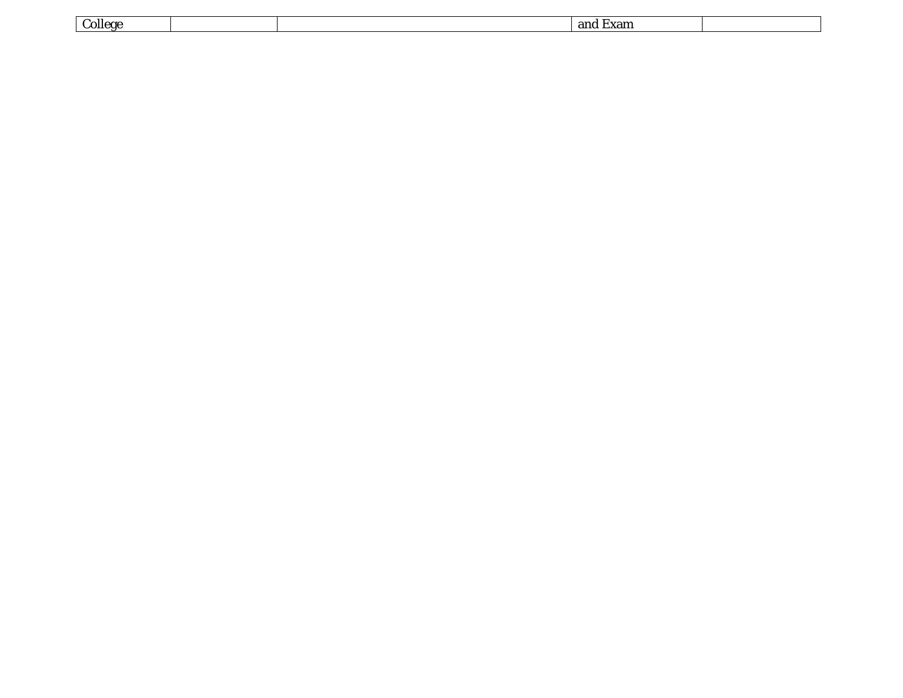| $\sim$<br>$\mathcal{L}$ ollege |  | ano<br>∟лаш |  |
|--------------------------------|--|-------------|--|